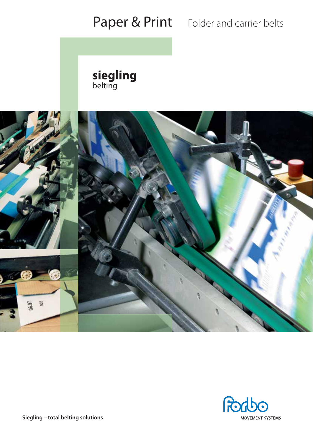# Paper & Print Folder and carrier belts

siegling<br>belting





**Siegling – total belting solutions**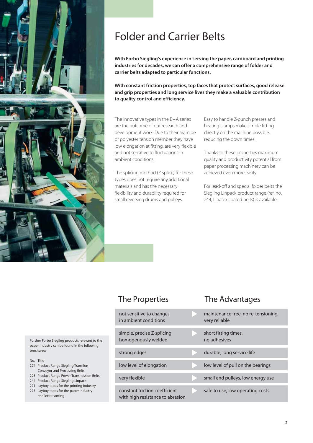

# Folder and Carrier Belts

**With Forbo Siegling's experience in serving the paper, cardboard and printing industries for decades, we can offer a comprehensive range of folder and carrier belts adapted to particular functions.** 

**With constant friction properties, top faces that protect surfaces, good release and grip properties and long service lives they make a valuable contribution to quality control and efficiency.** 

The innovative types in the E+A series are the outcome of our research and development work. Due to their aramide or polyester tension member they have low elongation at fitting, are very flexible and not sensitive to fluctuations in ambient conditions.

The splicing method (Z-splice) for these types does not require any additional materials and has the necessary flexibility and durability required for small reversing drums and pulleys.

Easy to handle Z-punch presses and heating clamps make simple fitting directly on the machine possible, reducing the down times.

Thanks to these properties maximum quality and productivity potential from paper processing machinery can be achieved even more easily.

For lead-off and special folder belts the Siegling Linpack product range (ref. no. 244, Linatex coated belts) is available.

## The Properties The Advantages

| not sensitive to changes<br>in ambient conditions                 | maintenance free, no re-tensioning,<br>very reliable |
|-------------------------------------------------------------------|------------------------------------------------------|
| simple, precise Z-splicing<br>homogenously welded                 | short fitting times,<br>no adhesives                 |
| strong edges                                                      | durable, long service life                           |
| low level of elongation                                           | low level of pull on the bearings                    |
| very flexible                                                     | small end pulleys, low energy use                    |
| constant friction coefficient<br>with high resistance to abrasion | safe to use, low operating costs                     |

Further Forbo Siegling products relevant to the paper industry can be found in the following brochures:

- No. Title
- 224 Product Range Siegling Transilon Conveyor and Processing Belts
- 225 Product Range Power Transmission Belts 244 Product Range Siegling Linpack
- 271 Layboy tapes for the printing industry
- 275 Layboy tapes for the paper industry and letter sorting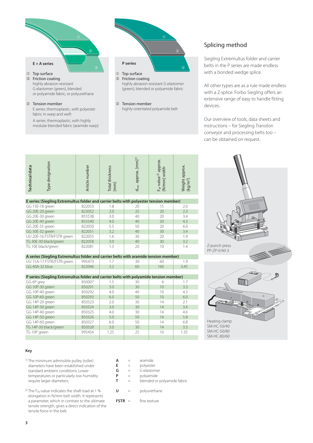

fabric in warp and weft

 A series: thermoplastic, with highly modular blended fabric (aramide warp)



### Splicing method

Siegling Extremultus folder and carrier belts in the P series are made endless with a bonded wedge splice.

All other types are as a rule made endless with a Z-splice. Forbo Siegling offers an extensive range of easy to handle fitting devices.

Our overview of tools, data sheets and instructions – for Siegling Transilon conveyor and processing belts too – can be obtained on request.

| Type designation<br><b>Technical data</b>                                              | Article number | Total thickness<br>[mm] | d <sub>min</sub> approx. [mm] <sup>1)</sup> | F <sub>w</sub> -value <sup>2)</sup> approx.<br>[N/mm] width | Weight approx.<br>[kg/m <sup>2</sup> ] |  |  |
|----------------------------------------------------------------------------------------|----------------|-------------------------|---------------------------------------------|-------------------------------------------------------------|----------------------------------------|--|--|
|                                                                                        |                |                         |                                             |                                                             |                                        |  |  |
| E series (Siegling Extremultus folder and carrier belts with polyester tension member) |                |                         |                                             |                                                             |                                        |  |  |
| GG 15E-18 green                                                                        | 822053         | 1.8                     | 20                                          | 15                                                          | 2.0                                    |  |  |
| GG 20E-20 green                                                                        | 822052         | 2.0                     | 25                                          | 20                                                          | 2.3                                    |  |  |
| GG 20E-30 green                                                                        | 855538         | 3.0                     | 40                                          | 20                                                          | 3.4                                    |  |  |
| GG 20E-40 green                                                                        | 855540         | 4.0                     | 40                                          | 20                                                          | 4.3                                    |  |  |
| GG 20E-55 green                                                                        | 822050         | 5.5                     | 50                                          | 20                                                          | 6.0                                    |  |  |
| GG 30E-32 green                                                                        | 822051         | 3.2                     | 40                                          | 30                                                          | 3.4                                    |  |  |
| UU 20E-16 FSTR/FSTR green                                                              | 822055         | 1.6                     | 30                                          | 20                                                          | 1.9                                    |  |  |
| TG 30E-30 black/green                                                                  | 822058         | 3.0                     | 40                                          | 30                                                          | 3.2                                    |  |  |
| TG 10E black/green                                                                     | 822081         | 1.3                     | 20                                          | 10                                                          | 1.4                                    |  |  |
| A series (Siegling Extremultus folder and carrier belts with aramide tension member)   |                |                         |                                             |                                                             |                                        |  |  |
| UU 15A-17 FSTR/FSTR green                                                              | 995473         | 1.7                     | 30                                          | 60                                                          | 1.9                                    |  |  |
| GG 40A-32 blue                                                                         | 822046         | 3.2                     | 60                                          | 160                                                         | 3.45                                   |  |  |
|                                                                                        |                |                         |                                             |                                                             |                                        |  |  |
| P series (Siegling Extremultus folder and carrier belts with polyamide tension member) |                |                         |                                             |                                                             |                                        |  |  |
| GG 6P grey                                                                             | 850007         | 1.5                     | 30                                          | 6                                                           | 1.7                                    |  |  |
| GG 10P-30 green                                                                        | 850291         | 3.0                     | 30                                          | 10                                                          | 3.3                                    |  |  |
| GG 10P-40 green                                                                        | 850292         | 4.0                     | 40                                          | 10                                                          | 4.3                                    |  |  |
| GG 10P-60 green                                                                        | 850293         | 6.0                     | 50                                          | 10                                                          | 6.0                                    |  |  |
| GG 14P-20 green                                                                        | 850323         | 2.0                     | 30                                          | 14                                                          | 2.1                                    |  |  |
| GG 14P-30 green                                                                        | 850324         | 3.0                     | 30                                          | 14                                                          | 3.4                                    |  |  |
| GG 14P-40 green                                                                        | 850325         | 4.0                     | 30                                          | 14                                                          | 4.6                                    |  |  |
| GG 14P-50 green                                                                        | 850326         | 5.0                     | 50                                          | 14                                                          | 5.8                                    |  |  |
| GG 14P-60 green                                                                        | 850327         | 6.0                     | 50                                          | 14                                                          | 6.8                                    |  |  |
| TG 14P-30 black/green                                                                  | 850328         | 3.0                     | 30                                          | 14                                                          | 3.3                                    |  |  |
| TG 10P green                                                                           | 995454         | 1.25                    | 25                                          | 10                                                          | 1.35                                   |  |  |
|                                                                                        |                |                         |                                             |                                                             |                                        |  |  |



#### **Key**

- 1) The minimum admissible pulley (roller) dia meters have been established under standard ambient conditions. Lower temperatures or particularly low humidity require larger diameters.
- <sup>2)</sup> The F<sub>W</sub>-value indicates the shaft load at 1 % elongation in N/mm belt width. It represents a parameter, which in contrast to the ultimate tensile strength, gives a direct indication of the tensile force in the belt.

| А           | aramide              |
|-------------|----------------------|
| Е           | polyester            |
| G           | G elastomer          |
| P           | polyamide            |
| т           | blended or polyamide |
|             |                      |
| U           | polyurethane         |
|             |                      |
| <b>FSTR</b> | fine texture         |

fabric